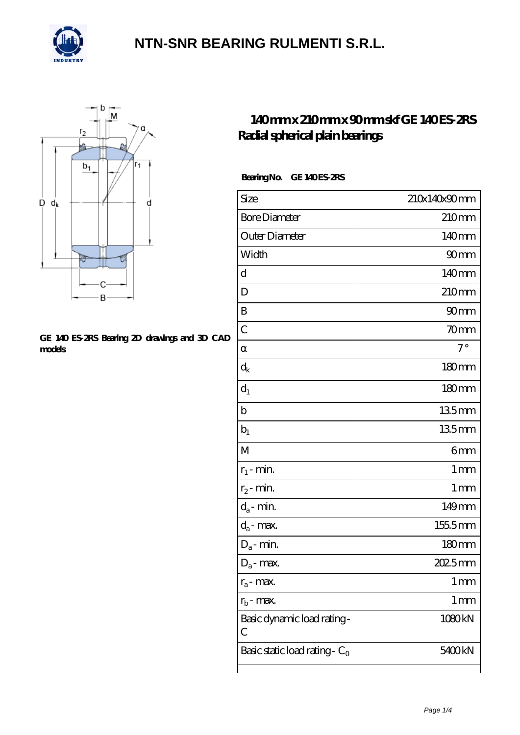



#### **[GE 140 ES-2RS Bearing 2D drawings and 3D CAD](https://m.confidencemenimprov.com/pic-64975154.html) [models](https://m.confidencemenimprov.com/pic-64975154.html)**

### **[140 mm x 210 mm x 90 mm skf GE 140 ES-2RS](https://m.confidencemenimprov.com/bz-64975154-skf-ge-140-es-2rs-radial-spherical-plain-bearings.html) [Radial spherical plain bearings](https://m.confidencemenimprov.com/bz-64975154-skf-ge-140-es-2rs-radial-spherical-plain-bearings.html)**

#### Bearing No. GE 140 ES-2RS

| Size                                 | 210x140x90mm      |
|--------------------------------------|-------------------|
| <b>Bore Diameter</b>                 | 210mm             |
| Outer Diameter                       | 140mm             |
| Width                                | 90 <sub>mm</sub>  |
| d                                    | 140mm             |
| D                                    | 210 <sub>mm</sub> |
| B                                    | 90 <sub>mm</sub>  |
| $\overline{C}$                       | 70mm              |
|                                      | $7^\circ$         |
| $\rm d_k$                            | 180mm             |
| $d_1$                                | $180 \text{mm}$   |
| $\mathbf b$                          | 135mm             |
| $b_1$                                | 135mm             |
| M                                    | 6mm               |
| $r_1$ - min.                         | $1 \,\mathrm{mm}$ |
| $r_2$ - min.                         | 1 <sub>mm</sub>   |
| $d_a$ - min.                         | 149mm             |
| $d_a$ - max.                         | 155.5mm           |
| $\mathrm{D}_\mathrm{a}\text{-}$ min. | $180 \text{mm}$   |
| $\mathrm{D}_\mathrm{a}\text{-}$ max. | 2025mm            |
| $r_a$ - max.                         | $1 \,\mathrm{mm}$ |
| $r_{b}$ - max.                       | 1 <sub>mm</sub>   |
| Basic dynamic load rating-<br>C      | 1080kN            |
| Basic static load rating - $C_0$     | 5400kN            |
|                                      |                   |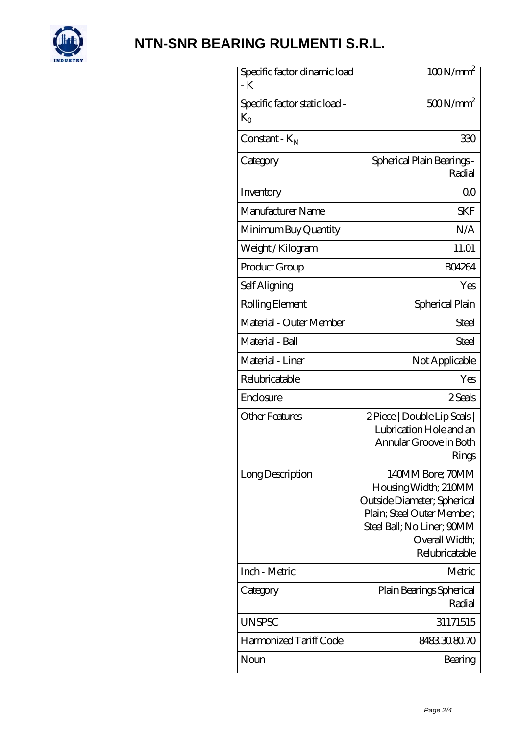

| Specific factor dinamic load<br>- K           | $100N/mm^2$                                                                                                                                                             |
|-----------------------------------------------|-------------------------------------------------------------------------------------------------------------------------------------------------------------------------|
| Specific factor static load -<br>$K_{\Omega}$ | $500N/mm^2$                                                                                                                                                             |
| Constant - $K_{\rm M}$                        | 330                                                                                                                                                                     |
| Category                                      | Spherical Plain Bearings -<br>Radial                                                                                                                                    |
| Inventory                                     | Q0                                                                                                                                                                      |
| Manufacturer Name                             | <b>SKF</b>                                                                                                                                                              |
| Minimum Buy Quantity                          | N/A                                                                                                                                                                     |
| Weight / Kilogram                             | 11.01                                                                                                                                                                   |
| Product Group                                 | <b>BO4264</b>                                                                                                                                                           |
| Self Aligning                                 | Yes                                                                                                                                                                     |
| Rolling Element                               | Spherical Plain                                                                                                                                                         |
| Material - Outer Member                       | Steel                                                                                                                                                                   |
| Material - Ball                               | Steel                                                                                                                                                                   |
| Material - Liner                              | Not Applicable                                                                                                                                                          |
| Relubricatable                                | Yes                                                                                                                                                                     |
| Enclosure                                     | 2 Seals                                                                                                                                                                 |
| <b>Other Features</b>                         | 2 Piece   Double Lip Seals  <br>Lubrication Hole and an<br>Annular Groove in Both<br>Rings                                                                              |
| Long Description                              | 140MM Bore; 70MM<br>Housing Width; 210MM<br>Outside Diameter; Spherical<br>Plain; Steel Outer Member;<br>Steel Ball; No Liner; 90MM<br>Overall Width;<br>Relubricatable |
| Inch - Metric                                 | Metric                                                                                                                                                                  |
| Category                                      | Plain Bearings Spherical<br>Radial                                                                                                                                      |
| <b>UNSPSC</b>                                 | 31171515                                                                                                                                                                |
| Harmonized Tariff Code                        | 8483.30.80.70                                                                                                                                                           |
| Noun                                          | Bearing                                                                                                                                                                 |
|                                               |                                                                                                                                                                         |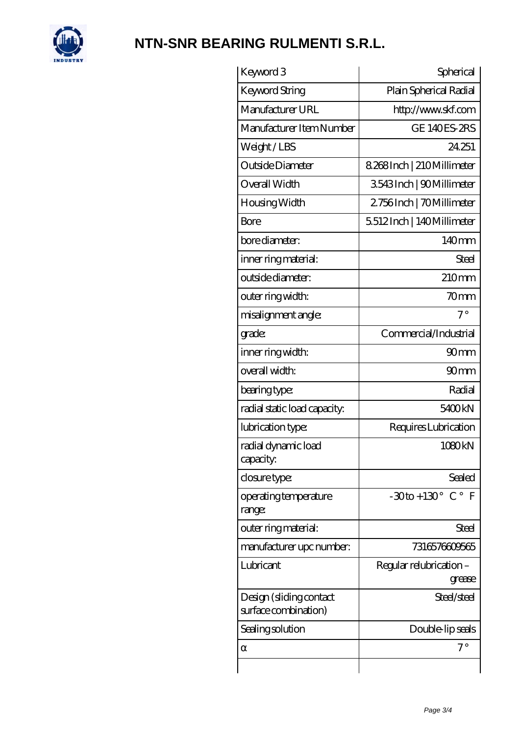

| Keyword 3                                       | Spherical                                   |
|-------------------------------------------------|---------------------------------------------|
| <b>Keyword String</b>                           | Plain Spherical Radial                      |
| Manufacturer URL                                | http://www.skf.com                          |
| Manufacturer Item Number                        | <b>GE 140ES-2RS</b>                         |
| Weight/LBS                                      | 24.251                                      |
| Outside Diameter                                | 8.268Inch   210Millimeter                   |
| Overall Width                                   | 3543Inch   90Millimeter                     |
| Housing Width                                   | 2756Inch   70Millimeter                     |
| Bore                                            | 5512Inch   140Millimeter                    |
| bore diameter:                                  | 140mm                                       |
| inner ring material:                            | Steel                                       |
| outside diameter:                               | 210mm                                       |
| outer ring width:                               | 70mm                                        |
| misalignment angle:                             | $7^{\circ}$                                 |
| grade:                                          | Commercial/Industrial                       |
| inner ring width:                               | 90mm                                        |
| overall width:                                  | 90 <sub>mm</sub>                            |
| bearing type:                                   | Radial                                      |
| radial static load capacity:                    | 5400 <sub>kN</sub>                          |
| lubrication type:                               | Requires Lubrication                        |
| radial dynamic load<br>capacity:                | 1080kN                                      |
| closure type:                                   | Sealed                                      |
| operating temperature<br>range:                 | $-30$ to + 130 $^{\circ}$ C $^{\circ}$<br>F |
| outer ring material:                            | <b>Steel</b>                                |
| manufacturer upc number:                        | 7316576609565                               |
| Lubricant                                       | Regular relubrication -<br>grease           |
| Design (sliding contact<br>surface combination) | Steel/steel                                 |
| Sealing solution                                | Double-lip seals                            |
|                                                 | 7°                                          |
|                                                 |                                             |